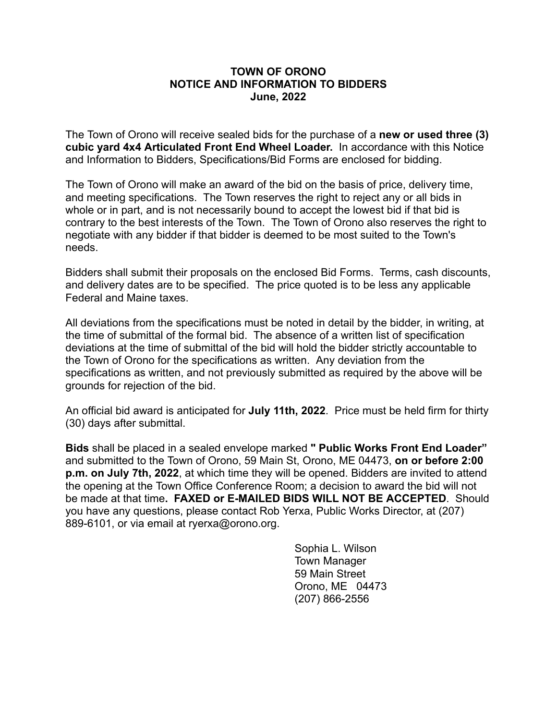## **TOWN OF ORONO NOTICE AND INFORMATION TO BIDDERS June, 2022**

The Town of Orono will receive sealed bids for the purchase of a **new or used three (3) cubic yard 4x4 Articulated Front End Wheel Loader.** In accordance with this Notice and Information to Bidders, Specifications/Bid Forms are enclosed for bidding.

The Town of Orono will make an award of the bid on the basis of price, delivery time, and meeting specifications. The Town reserves the right to reject any or all bids in whole or in part, and is not necessarily bound to accept the lowest bid if that bid is contrary to the best interests of the Town. The Town of Orono also reserves the right to negotiate with any bidder if that bidder is deemed to be most suited to the Town's needs.

Bidders shall submit their proposals on the enclosed Bid Forms. Terms, cash discounts, and delivery dates are to be specified. The price quoted is to be less any applicable Federal and Maine taxes.

All deviations from the specifications must be noted in detail by the bidder, in writing, at the time of submittal of the formal bid. The absence of a written list of specification deviations at the time of submittal of the bid will hold the bidder strictly accountable to the Town of Orono for the specifications as written. Any deviation from the specifications as written, and not previously submitted as required by the above will be grounds for rejection of the bid.

An official bid award is anticipated for **July 11th, 2022**. Price must be held firm for thirty (30) days after submittal.

**Bids** shall be placed in a sealed envelope marked **" Public Works Front End Loader"** and submitted to the Town of Orono, 59 Main St, Orono, ME 04473, **on or before 2:00 p.m. on July 7th, 2022**, at which time they will be opened. Bidders are invited to attend the opening at the Town Office Conference Room; a decision to award the bid will not be made at that time**. FAXED or E-MAILED BIDS WILL NOT BE ACCEPTED**. Should you have any questions, please contact Rob Yerxa, Public Works Director, at (207) 889-6101, or via email at ryerxa@orono.org.

> Sophia L. Wilson Town Manager 59 Main Street Orono, ME 04473 (207) 866-2556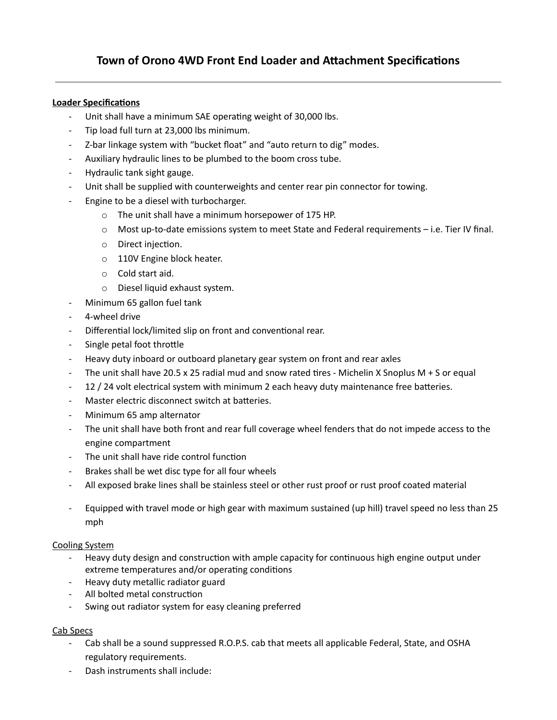### **Loader Specifications**

- Unit shall have a minimum SAE operating weight of 30,000 lbs.
- Tip load full turn at 23,000 lbs minimum.
- Z-bar linkage system with "bucket float" and "auto return to dig" modes.
- Auxiliary hydraulic lines to be plumbed to the boom cross tube.
- Hydraulic tank sight gauge.
- Unit shall be supplied with counterweights and center rear pin connector for towing.
- Engine to be a diesel with turbocharger.
	- o The unit shall have a minimum horsepower of 175 HP.
	- o Most up-to-date emissions system to meet State and Federal requirements i.e. Tier IV final.
	- $\circ$  Direct injection.
	- o 110V Engine block heater.
	- o Cold start aid.
	- o Diesel liquid exhaust system.
- Minimum 65 gallon fuel tank
- 4-wheel drive
- Differential lock/limited slip on front and conventional rear.
- Single petal foot throttle
- Heavy duty inboard or outboard planetary gear system on front and rear axles
- The unit shall have 20.5 x 25 radial mud and snow rated tires Michelin X Snoplus M + S or equal
- 12 / 24 volt electrical system with minimum 2 each heavy duty maintenance free batteries.
- Master electric disconnect switch at batteries.
- Minimum 65 amp alternator
- The unit shall have both front and rear full coverage wheel fenders that do not impede access to the engine compartment
- The unit shall have ride control function
- Brakes shall be wet disc type for all four wheels
- All exposed brake lines shall be stainless steel or other rust proof or rust proof coated material
- Equipped with travel mode or high gear with maximum sustained (up hill) travel speed no less than 25 mph

#### Cooling System

- Heavy duty design and construction with ample capacity for continuous high engine output under extreme temperatures and/or operating conditions
- Heavy duty metallic radiator guard
- All bolted metal construction
- Swing out radiator system for easy cleaning preferred

#### Cab Specs

- Cab shall be a sound suppressed R.O.P.S. cab that meets all applicable Federal, State, and OSHA regulatory requirements.
- Dash instruments shall include: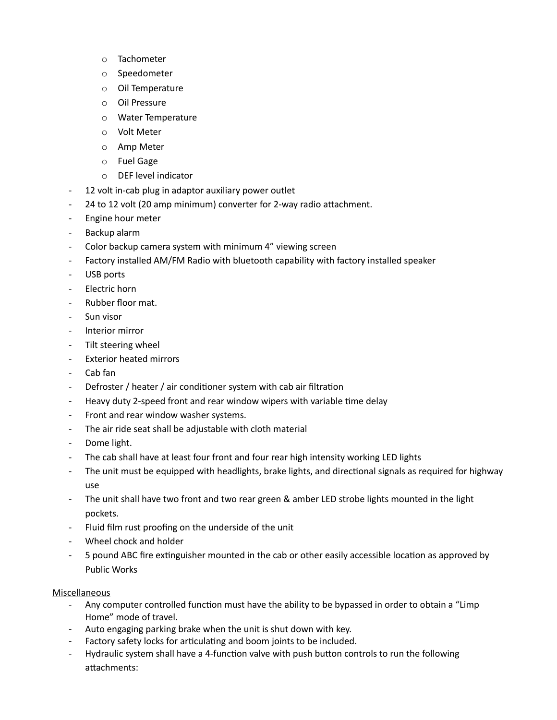- o Tachometer
- o Speedometer
- o Oil Temperature
- o Oil Pressure
- o Water Temperature
- o Volt Meter
- o Amp Meter
- o Fuel Gage
- o DEF level indicator
- 12 volt in-cab plug in adaptor auxiliary power outlet
- 24 to 12 volt (20 amp minimum) converter for 2-way radio attachment.
- Engine hour meter
- Backup alarm
- Color backup camera system with minimum 4" viewing screen
- Factory installed AM/FM Radio with bluetooth capability with factory installed speaker
- USB ports
- Electric horn
- Rubber floor mat.
- Sun visor
- Interior mirror
- Tilt steering wheel
- Exterior heated mirrors
- Cab fan
- Defroster / heater / air conditioner system with cab air filtration
- Heavy duty 2-speed front and rear window wipers with variable time delay
- Front and rear window washer systems.
- The air ride seat shall be adjustable with cloth material
- Dome light.
- The cab shall have at least four front and four rear high intensity working LED lights
- The unit must be equipped with headlights, brake lights, and directional signals as required for highway use
- The unit shall have two front and two rear green & amber LED strobe lights mounted in the light pockets.
- Fluid film rust proofing on the underside of the unit
- Wheel chock and holder
- 5 pound ABC fire extinguisher mounted in the cab or other easily accessible location as approved by Public Works

#### Miscellaneous

- Any computer controlled function must have the ability to be bypassed in order to obtain a "Limp Home" mode of travel.
- Auto engaging parking brake when the unit is shut down with key.
- Factory safety locks for articulating and boom joints to be included.
- Hydraulic system shall have a 4-function valve with push button controls to run the following attachments: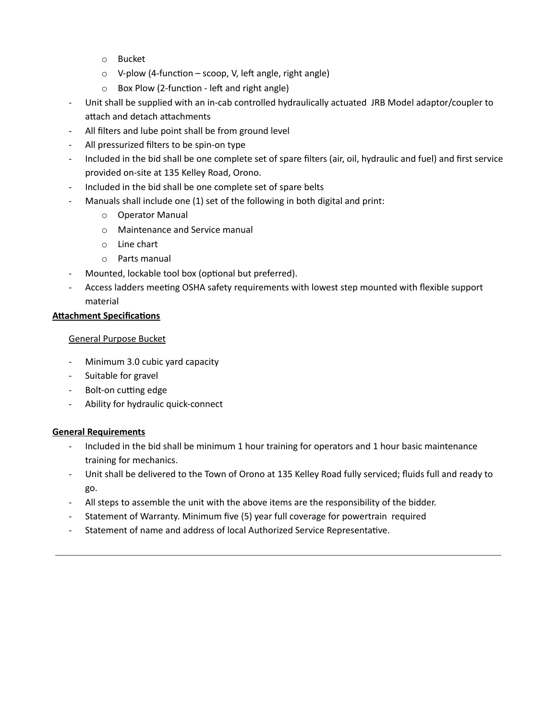- o Bucket
- $\circ$  V-plow (4-function scoop, V, left angle, right angle)
- $\circ$  Box Plow (2-function left and right angle)
- Unit shall be supplied with an in-cab controlled hydraulically actuated JRB Model adaptor/coupler to attach and detach attachments
- All filters and lube point shall be from ground level
- All pressurized filters to be spin-on type
- Included in the bid shall be one complete set of spare filters (air, oil, hydraulic and fuel) and first service provided on-site at 135 Kelley Road, Orono.
- Included in the bid shall be one complete set of spare belts
- Manuals shall include one (1) set of the following in both digital and print:
	- o Operator Manual
	- o Maintenance and Service manual
	- o Line chart
	- o Parts manual
- Mounted, lockable tool box (optional but preferred).
- Access ladders meeting OSHA safety requirements with lowest step mounted with flexible support material

#### **Attachment Specifications**

#### General Purpose Bucket

- Minimum 3.0 cubic yard capacity
- Suitable for gravel
- Bolt-on cutting edge
- Ability for hydraulic quick-connect

#### **General Requirements**

- Included in the bid shall be minimum 1 hour training for operators and 1 hour basic maintenance training for mechanics.
- Unit shall be delivered to the Town of Orono at 135 Kelley Road fully serviced; fluids full and ready to go.
- All steps to assemble the unit with the above items are the responsibility of the bidder.
- Statement of Warranty. Minimum five (5) year full coverage for powertrain required
- Statement of name and address of local Authorized Service Representative.